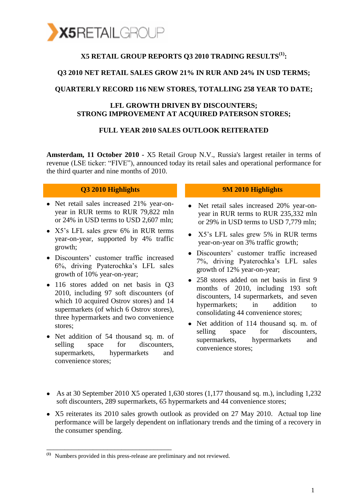

### **X5 RETAIL GROUP REPORTS Q3 2010 TRADING RESULTS(1):**

#### **Q3 2010 NET RETAIL SALES GROW 21% IN RUR AND 24% IN USD TERMS;**

#### **QUARTERLY RECORD 116 NEW STORES, TOTALLING 258 YEAR TO DATE;**

#### **LFL GROWTH DRIVEN BY DISCOUNTERS; STRONG IMPROVEMENT AT ACQUIRED PATERSON STORES;**

#### **FULL YEAR 2010 SALES OUTLOOK REITERATED**

**Amsterdam, 11 October 2010 -** X5 Retail Group N.V., Russia's largest retailer in terms of revenue (LSE ticker: "FIVE"), announced today its retail sales and operational performance for the third quarter and nine months of 2010.

- Net retail sales increased 21% year-onyear in RUR terms to RUR 79,822 mln or 24% in USD terms to USD 2,607 mln;
- X5's LFL sales grew 6% in RUR terms year-on-year, supported by 4% traffic growth;
- Discounters' customer traffic increased 6%, driving Pyaterochka's LFL sales growth of 10% year-on-year;
- 116 stores added on net basis in Q3 2010, including 97 soft discounters (of which 10 acquired Ostrov stores) and 14 supermarkets (of which 6 Ostrov stores), three hypermarkets and two convenience stores;
- Net addition of 54 thousand sq. m. of selling space for discounters. supermarkets, hypermarkets and convenience stores;

\_\_\_\_\_\_\_\_\_\_\_\_\_\_\_\_\_\_\_\_\_\_\_\_\_\_\_\_\_\_\_\_\_\_\_

#### **Q3 2010 Highlights 9M 2010 Highlights**

- $\bullet$ Net retail sales increased 20% year-onyear in RUR terms to RUR 235,332 mln or 29% in USD terms to USD 7,779 mln;
- X5's LFL sales grew 5% in RUR terms year-on-year on 3% traffic growth;
- Discounters' customer traffic increased 7%, driving Pyaterochka's LFL sales growth of 12% year-on-year;
- 258 stores added on net basis in first 9 months of 2010, including 193 soft discounters, 14 supermarkets, and seven hypermarkets; in addition to consolidating 44 convenience stores;
- Net addition of 114 thousand sq. m. of selling space for discounters, supermarkets, hypermarkets and convenience stores;
- As at 30 September 2010 X5 operated 1,630 stores (1,177 thousand sq. m.), including 1,232 soft discounters, 289 supermarkets, 65 hypermarkets and 44 convenience stores;
- X5 reiterates its 2010 sales growth outlook as provided on 27 May 2010. Actual top line performance will be largely dependent on inflationary trends and the timing of a recovery in the consumer spending.

**<sup>(1)</sup>** Numbers provided in this press-release are preliminary and not reviewed.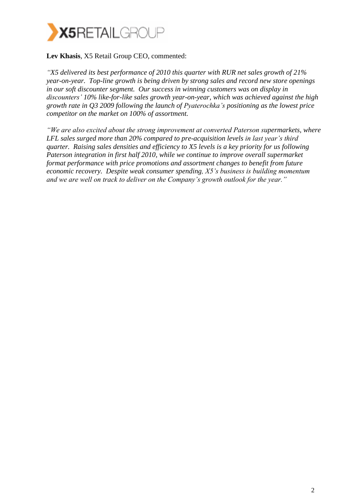

#### **Lev Khasis**, X5 Retail Group CEO, commented:

*"X5 delivered its best performance of 2010 this quarter with RUR net sales growth of 21% year-on-year. Top-line growth is being driven by strong sales and record new store openings in our soft discounter segment. Our success in winning customers was on display in discounters' 10% like-for-like sales growth year-on-year, which was achieved against the high growth rate in Q3 2009 following the launch of Pyaterochka's positioning as the lowest price competitor on the market on 100% of assortment.*

*"We are also excited about the strong improvement at converted Paterson supermarkets, where LFL sales surged more than 20% compared to pre-acquisition levels in last year's third quarter. Raising sales densities and efficiency to X5 levels is a key priority for us following Paterson integration in first half 2010, while we continue to improve overall supermarket format performance with price promotions and assortment changes to benefit from future economic recovery. Despite weak consumer spending, X5's business is building momentum and we are well on track to deliver on the Company's growth outlook for the year."*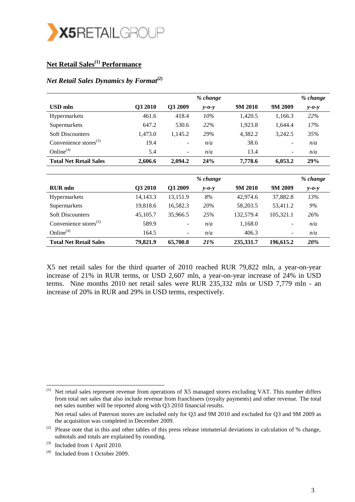

## **Net Retail Sales(1) Performance**

#### *Net Retail Sales Dynamics by Format(2)*

|                               |         |                          | % change    |         |         | % change     |
|-------------------------------|---------|--------------------------|-------------|---------|---------|--------------|
| USD mln                       | Q3 2010 | O3 2009                  | $y - 0 - y$ | 9M 2010 | 9M 2009 | $y$ - $o$ -y |
| Hypermarkets                  | 461.6   | 418.4                    | 10%         | 1,420.5 | 1,166.3 | 22%          |
| Supermarkets                  | 647.2   | 530.6                    | 22%         | 1,923.8 | 1,644.4 | 17%          |
| <b>Soft Discounters</b>       | 1,473.0 | 1.145.2                  | 29%         | 4.382.2 | 3,242.5 | 35%          |
| Convenience stores $^{(3)}$   | 19.4    | $\overline{\phantom{a}}$ | n/a         | 38.6    | -       | n/a          |
| Online $(4)$                  | 5.4     | $\overline{\phantom{a}}$ | n/a         | 13.4    | -       | n/a          |
| <b>Total Net Retail Sales</b> | 2,606.6 | 2,094.2                  | 24%         | 7,778.6 | 6,053.2 | 29%          |
|                               |         |                          |             |         |         |              |

|                                   |          |                          | % change    |           |                          | % change    |
|-----------------------------------|----------|--------------------------|-------------|-----------|--------------------------|-------------|
| <b>RUR</b> mln                    | Q3 2010  | O <sub>3</sub> 2009      | $y - 0 - y$ | 9M 2010   | 9M 2009                  | $y - 0 - y$ |
| Hypermarkets                      | 14,143.3 | 13,151.9                 | 8%          | 42,974.6  | 37,882.8                 | 13%         |
| Supermarkets                      | 19,818.6 | 16,582.3                 | <b>20%</b>  | 58,203.5  | 53,411.2                 | 9%          |
| <b>Soft Discounters</b>           | 45,105.7 | 35,966.5                 | 25%         | 132,579.4 | 105,321.1                | 26%         |
| Convenience stores <sup>(3)</sup> | 589.9    | -                        | n/a         | 1,168.0   | $\overline{\phantom{a}}$ | n/a         |
| Online $(4)$                      | 164.5    | $\overline{\phantom{a}}$ | n/a         | 406.3     | $\overline{\phantom{a}}$ | n/a         |
| <b>Total Net Retail Sales</b>     | 79,821.9 | 65,700.8                 | <b>21%</b>  | 235,331.7 | 196,615.2                | 20%         |

X5 net retail sales for the third quarter of 2010 reached RUR 79,822 mln, a year-on-year increase of 21% in RUR terms, or USD 2,607 mln, a year-on-year increase of 24% in USD terms. Nine months 2010 net retail sales were RUR 235,332 mln or USD 7,779 mln - an increase of 20% in RUR and 29% in USD terms, respectively.

(1) Net retail sales represent revenue from operations of X5 managed stores excluding VAT. This number differs from total net sales that also include revenue from franchisees (royalty payments) and other revenue. The total net sales number will be reported along with Q3 2010 financial results.

\_\_\_\_\_\_\_\_\_\_\_\_\_\_\_\_\_\_\_\_\_\_\_\_\_\_\_\_\_\_\_\_\_

Net retail sales of Paterson stores are included only for Q3 and 9M 2010 and excluded for Q3 and 9M 2009 as the acquisition was completed in December 2009.

<sup>(2)</sup> Please note that in this and other tables of this press release immaterial deviations in calculation of  $%$  change, subtotals and totals are explained by rounding.

 $(3)$  Included from 1 April 2010.

<sup>(4)</sup> Included from 1 October 2009.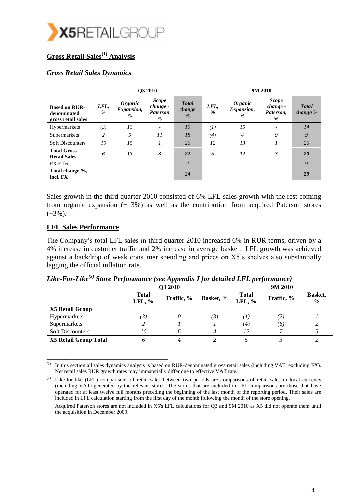

### **Gross Retail Sales(1) Analysis**

#### *Gross Retail Sales Dynamics*

|                                                           |                |                                                 | <b>O3 2010</b>                                   |                                         | 9M 2010               |                                                    |                                            |                            |  |
|-----------------------------------------------------------|----------------|-------------------------------------------------|--------------------------------------------------|-----------------------------------------|-----------------------|----------------------------------------------------|--------------------------------------------|----------------------------|--|
| <b>Based on RUR-</b><br>denominated<br>gross retail sales | LFL,<br>%      | <i><b>Organic</b></i><br><i>Expansion,</i><br>% | <b>Scope</b><br>change -<br><b>Paterson</b><br>% | <b>Total</b><br>change<br>$\frac{0}{6}$ | LFL,<br>$\frac{0}{2}$ | <i><b>Organic</b></i><br><i>Expansion,</i><br>$\%$ | <b>Scope</b><br>change -<br>Paterson,<br>% | <b>Total</b><br>change $%$ |  |
| Hypermarkets                                              | (3)            | 13                                              | $\overline{\phantom{0}}$                         | 10                                      | (I)                   | 15                                                 |                                            | 14                         |  |
| Supermarkets                                              | $\overline{c}$ | 5                                               | $\overline{11}$                                  | 18                                      | (4)                   | 4                                                  | 9                                          | 9                          |  |
| <b>Soft Discounters</b>                                   | 10             | 15                                              |                                                  | 26                                      | 12                    | 13                                                 |                                            | 26                         |  |
| <b>Total Gross</b><br><b>Retail Sales</b>                 | 6              | 13                                              | 3                                                | 22                                      | 5                     | 12                                                 | 3                                          | 20                         |  |
| <b>FX</b> Effect                                          |                |                                                 |                                                  | $\overline{2}$                          |                       |                                                    |                                            | 9                          |  |
| Total change %,<br>incl. FX                               |                |                                                 |                                                  | 24                                      |                       |                                                    |                                            | 29                         |  |

Sales growth in the third quarter 2010 consisted of 6% LFL sales growth with the rest coming from organic expansion (+13%) as well as the contribution from acquired Paterson stores  $(+3%)$ .

#### **LFL Sales Performance**

\_\_\_\_\_\_\_\_\_\_\_\_\_\_\_\_\_\_\_\_\_\_\_\_\_\_\_\_\_\_\_\_\_\_

The Company's total LFL sales in third quarter 2010 increased 6% in RUR terms, driven by a 4% increase in customer traffic and 2% increase in average basket. LFL growth was achieved against a backdrop of weak consumer spending and prices on X5's shelves also substantially lagging the official inflation rate.

|                              |                           | Q3 2010    |           | 9M 2010                   |            |                          |  |
|------------------------------|---------------------------|------------|-----------|---------------------------|------------|--------------------------|--|
|                              | <b>Total</b><br>LFL, $\%$ | Traffic, % | Basket, % | <b>Total</b><br>LFL, $\%$ | Traffic, % | Basket,<br>$\frac{0}{0}$ |  |
| X5 Retail Group              |                           |            |           |                           |            |                          |  |
| Hypermarkets                 | (3)                       |            | (3)       | (I)                       | (2)        |                          |  |
| Supermarkets                 |                           |            |           | (4)                       | (6)        |                          |  |
| <b>Soft Discounters</b>      | 10                        | 6          |           | 12                        |            |                          |  |
| <b>X5 Retail Group Total</b> |                           | 4          |           |                           |            |                          |  |

#### *Like-For-Like(2) Store Performance (see Appendix I for detailed LFL performance)*

 $(1)$ In this section all sales dynamics analysis is based on RUR-denominated gross retail sales (including VAT, excluding FX). Net retail sales RUR growth rates may immaterially differ due to effective VAT rate.

<sup>&</sup>lt;sup>(2)</sup> Like-for-like (LFL) comparisons of retail sales between two periods are comparisons of retail sales in local currency (including VAT) generated by the relevant stores. The stores that are included in LFL comparisons are those that have operated for at least twelve full months preceding the beginning of the last month of the reporting period. Their sales are included in LFL calculation starting from the first day of the month following the month of the store opening.

Acquired Paterson stores are not included in X5's LFL calculations for Q3 and 9M 2010 as X5 did not operate them until the acquisition in December 2009.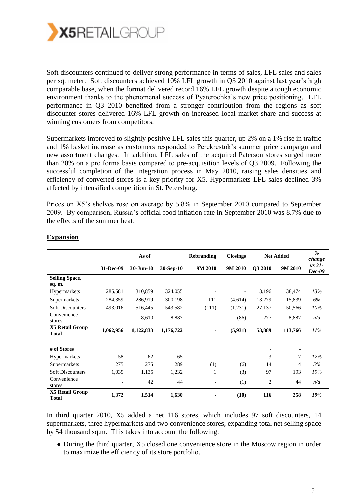

Soft discounters continued to deliver strong performance in terms of sales, LFL sales and sales per sq. meter. Soft discounters achieved 10% LFL growth in Q3 2010 against last year's high comparable base, when the format delivered record 16% LFL growth despite a tough economic environment thanks to the phenomenal success of Pyaterochka's new price positioning. LFL performance in Q3 2010 benefited from a stronger contribution from the regions as soft discounter stores delivered 16% LFL growth on increased local market share and success at winning customers from competitors.

Supermarkets improved to slightly positive LFL sales this quarter, up 2% on a 1% rise in traffic and 1% basket increase as customers responded to Perekrestok's summer price campaign and new assortment changes. In addition, LFL sales of the acquired Paterson stores surged more than 20% on a pro forma basis compared to pre-acquisition levels of Q3 2009. Following the successful completion of the integration process in May 2010, raising sales densities and efficiency of converted stores is a key priority for X5. Hypermarkets LFL sales declined 3% affected by intensified competition in St. Petersburg.

Prices on X5's shelves rose on average by 5.8% in September 2010 compared to September 2009. By comparison, Russia's official food inflation rate in September 2010 was 8.7% due to the effects of the summer heat.

|                                        |           | As of         |             | <b>Rebranding</b> | <b>Closings</b>          |                          | <b>Net Added</b>         | $\%$<br>change       |
|----------------------------------------|-----------|---------------|-------------|-------------------|--------------------------|--------------------------|--------------------------|----------------------|
|                                        | 31-Dec-09 | $30 - Jun-10$ | $30-Sep-10$ | 9M 2010           | 9M 2010                  | Q3 2010                  | 9M 2010                  | $vs$ 31-<br>$Dec-09$ |
| <b>Selling Space,</b><br>sq. m.        |           |               |             |                   |                          |                          |                          |                      |
| Hypermarkets                           | 285,581   | 310,859       | 324,055     |                   | $\overline{\phantom{a}}$ | 13,196                   | 38,474                   | 13%                  |
| Supermarkets                           | 284,359   | 286,919       | 300,198     | 111               | (4,614)                  | 13,279                   | 15,839                   | 6%                   |
| <b>Soft Discounters</b>                | 493,016   | 516,445       | 543,582     | (111)             | (1,231)                  | 27,137                   | 50,566                   | 10%                  |
| Convenience<br>stores                  |           | 8,610         | 8,887       |                   | (86)                     | 277                      | 8,887                    | n/a                  |
| X5 Retail Group<br><b>Total</b>        | 1,062,956 | 1,122,833     | 1,176,722   | ۰                 | (5,931)                  | 53,889                   | 113,766                  | 11%                  |
|                                        |           |               |             |                   |                          |                          |                          |                      |
| # of Stores                            |           |               |             |                   |                          | $\overline{\phantom{a}}$ | $\overline{\phantom{a}}$ |                      |
| Hypermarkets                           | 58        | 62            | 65          |                   |                          | 3                        | 7                        | 12%                  |
| Supermarkets                           | 275       | 275           | 289         | (1)               | (6)                      | 14                       | 14                       | 5%                   |
| <b>Soft Discounters</b>                | 1,039     | 1,135         | 1,232       | 1                 | (3)                      | 97                       | 193                      | 19%                  |
| Convenience<br>stores                  |           | 42            | 44          |                   | (1)                      | 2                        | 44                       | n/a                  |
| <b>X5 Retail Group</b><br><b>Total</b> | 1,372     | 1,514         | 1,630       |                   | (10)                     | 116                      | 258                      | 19%                  |

#### **Expansion**

In third quarter 2010, X5 added a net 116 stores, which includes 97 soft discounters, 14 supermarkets, three hypermarkets and two convenience stores, expanding total net selling space by 54 thousand sq.m. This takes into account the following:

During the third quarter, X5 closed one convenience store in the Moscow region in order to maximize the efficiency of its store portfolio.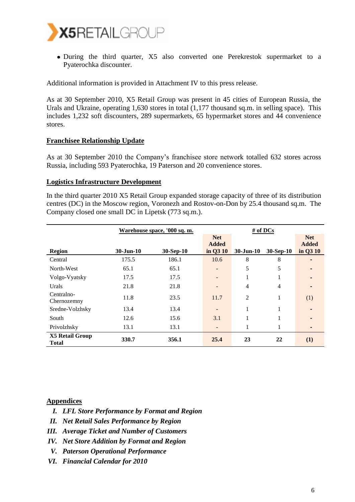

During the third quarter, X5 also converted one Perekrestok supermarket to a Pyaterochka discounter.

Additional information is provided in Attachment IV to this press release.

As at 30 September 2010, X5 Retail Group was present in 45 cities of European Russia, the Urals and Ukraine, operating 1,630 stores in total (1,177 thousand sq.m. in selling space). This includes 1,232 soft discounters, 289 supermarkets, 65 hypermarket stores and 44 convenience stores.

#### **Franchisee Relationship Update**

As at 30 September 2010 the Company's franchisee store network totalled 632 stores across Russia, including 593 Pyaterochka, 19 Paterson and 20 convenience stores.

#### **Logistics Infrastructure Development**

In the third quarter 2010 X5 Retail Group expanded storage capacity of three of its distribution centres (DC) in the Moscow region, Voronezh and Rostov-on-Don by 25.4 thousand sq.m. The Company closed one small DC in Lipetsk (773 sq.m.).

|                                        |               | <u>Warehouse space, '000 sq. m.</u> |                            | $#$ of DCs    |                |                            |
|----------------------------------------|---------------|-------------------------------------|----------------------------|---------------|----------------|----------------------------|
|                                        |               |                                     | <b>Net</b><br><b>Added</b> |               |                | <b>Net</b><br><b>Added</b> |
| Region                                 | $30 - Jun-10$ | 30-Sep-10                           | in Q3 10                   | $30 - Jun-10$ | $30-Sep-10$    | in Q3 10                   |
| Central                                | 175.5         | 186.1                               | 10.6                       | 8             | 8              |                            |
| North-West                             | 65.1          | 65.1                                |                            | 5             | 5              |                            |
| Volgo-Vyatsky                          | 17.5          | 17.5                                |                            | 1             |                |                            |
| Urals                                  | 21.8          | 21.8                                |                            | 4             | $\overline{4}$ |                            |
| Centralno-<br>Chernozemny              | 11.8          | 23.5                                | 11.7                       | 2             |                | (1)                        |
| Sredne-Volzhsky                        | 13.4          | 13.4                                |                            | 1             |                |                            |
| South                                  | 12.6          | 15.6                                | 3.1                        |               |                |                            |
| Privolzhsky                            | 13.1          | 13.1                                |                            | 1             |                |                            |
| <b>X5 Retail Group</b><br><b>Total</b> | 330.7         | 356.1                               | 25.4                       | 23            | 22             | (1)                        |

#### **Appendices**

- *I. LFL Store Performance by Format and Region*
- *II. Net Retail Sales Performance by Region*
- *III. Average Ticket and Number of Customers*
- *IV. Net Store Addition by Format and Region*
- *V. Paterson Operational Performance*
- *VI. Financial Calendar for 2010*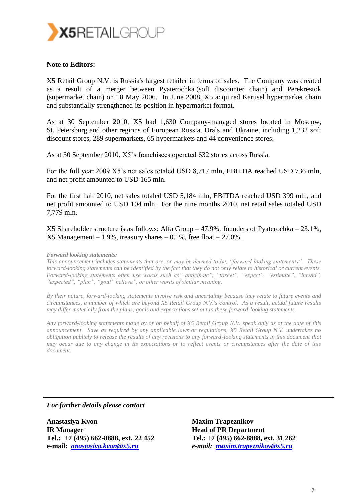

#### **Note to Editors:**

X5 Retail Group N.V. is Russia's largest retailer in terms of sales. The Company was created as a result of a merger between Pyaterochka (soft discounter chain) and Perekrestok (supermarket chain) on 18 May 2006. In June 2008, X5 acquired Karusel hypermarket chain and substantially strengthened its position in hypermarket format.

As at 30 September 2010, X5 had 1,630 Company-managed stores located in Moscow, St. Petersburg and other regions of European Russia, Urals and Ukraine, including 1,232 soft discount stores, 289 supermarkets, 65 hypermarkets and 44 convenience stores.

As at 30 September 2010, X5's franchisees operated 632 stores across Russia.

For the full year 2009 X5's net sales totaled USD 8,717 mln, EBITDA reached USD 736 mln, and net profit amounted to USD 165 mln.

For the first half 2010, net sales totaled USD 5,184 mln, EBITDA reached USD 399 mln, and net profit amounted to USD 104 mln. For the nine months 2010, net retail sales totaled USD 7,779 mln.

X5 Shareholder structure is as follows: Alfa Group – 47.9%, founders of Pyaterochka – 23.1%,  $X5$  Management – 1.9%, treasury shares – 0.1%, free float – 27.0%.

#### *Forward looking statements:*

*This announcement includes statements that are, or may be deemed to be, "forward-looking statements". These forward-looking statements can be identified by the fact that they do not only relate to historical or current events. Forward-looking statements often use words such as" anticipate", "target", "expect", "estimate", "intend", "expected", "plan", "goal" believe", or other words of similar meaning.*

*By their nature, forward-looking statements involve risk and uncertainty because they relate to future events and circumstances, a number of which are beyond X5 Retail Group N.V.'s control. As a result, actual future results may differ materially from the plans, goals and expectations set out in these forward-looking statements.* 

*Any forward-looking statements made by or on behalf of X5 Retail Group N.V. speak only as at the date of this announcement. Save as required by any applicable laws or regulations, X5 Retail Group N.V. undertakes no obligation publicly to release the results of any revisions to any forward-looking statements in this document that may occur due to any change in its expectations or to reflect events or circumstances after the date of this document.*

*For further details please contact*

**Anastasiya Kvon IR Manager Tel.[: +7 \(495\) 662-8888, ext. 22 452](http://www.plaxo.com/click_to_call?src=jj_signature&To=%2B7+(495)+984+6956+ext.+2103&Email=nikolai.romanov@x5.ru) e-mail:** *[anastasiya.kvon@x5.ru](mailto:anastasiya.kvon@x5.ru)*

**Maxim Trapeznikov Head of PR Department Tel.: +7 (495) 662-8888, ext. 31 262** *e-mail: [maxim.trapeznikov@x5.ru](mailto:maxim.trapeznikov@x5.ru)*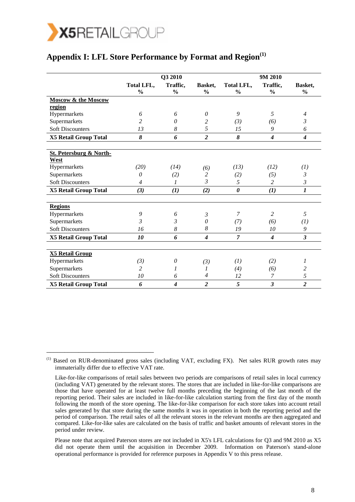

\_\_\_\_\_\_\_\_\_\_\_\_\_\_\_\_\_\_\_\_\_\_\_\_\_\_\_\_\_\_

### **Appendix I: LFL Store Performance by Format and Region(1)**

|                                            |                | Q3 2010                     |                  |                       | 9M 2010          |                  |
|--------------------------------------------|----------------|-----------------------------|------------------|-----------------------|------------------|------------------|
|                                            | Total LFL,     | Traffic,                    | Basket,          | Total LFL,            | Traffic,         | Basket,          |
|                                            | $\frac{0}{0}$  | $\frac{0}{0}$               | $\frac{0}{0}$    | $\frac{0}{0}$         | $\frac{0}{0}$    | $\frac{0}{0}$    |
| Moscow & the Moscow                        |                |                             |                  |                       |                  |                  |
| region                                     |                |                             |                  |                       |                  |                  |
| Hypermarkets                               | 6              | 6                           | 0                | 9                     | 5                | $\overline{4}$   |
| Supermarkets                               | 2              | $\theta$                    | 2                | (3)                   | (6)              | 3                |
| <b>Soft Discounters</b>                    | 13             | 8                           | 5                | 15                    | 9                | 6                |
| X5 Retail Group Total                      | 8              | 6                           | $\overline{2}$   | 8                     | $\boldsymbol{4}$ | $\boldsymbol{4}$ |
|                                            |                |                             |                  |                       |                  |                  |
| <b>St. Petersburg &amp; North-</b><br>West |                |                             |                  |                       |                  |                  |
| Hypermarkets                               | (20)           | (14)                        | (6)              | (13)                  | (12)             | (1)              |
| Supermarkets                               | $\theta$       | (2)                         | 2                | (2)                   | (5)              | $\mathfrak{Z}$   |
| <b>Soft Discounters</b>                    | $\overline{4}$ | 1                           | $\mathfrak{Z}$   | 5                     | 2                | $\mathfrak{Z}$   |
| X5 Retail Group Total                      | (3)            | (1)                         | (2)              | $\boldsymbol{\theta}$ | (1)              | $\boldsymbol{l}$ |
|                                            |                |                             |                  |                       |                  |                  |
| <b>Regions</b>                             |                |                             |                  |                       |                  |                  |
| Hypermarkets                               | 9              | 6                           | 3                | 7                     | 2                | 5                |
| Supermarkets                               | 3              | 3                           | $\theta$         | (7)                   | (6)              | (1)              |
| <b>Soft Discounters</b>                    | 16             | 8                           | 8                | 19                    | 10               | 9                |
| <b>X5 Retail Group Total</b>               | 10             | 6                           | $\boldsymbol{4}$ | $\overline{7}$        | $\boldsymbol{4}$ | $\mathfrak{z}$   |
|                                            |                |                             |                  |                       |                  |                  |
| <b>X5 Retail Group</b>                     |                |                             |                  |                       |                  |                  |
| Hypermarkets                               | (3)            | $\theta$                    | (3)              | (1)                   | (2)              | 1                |
| Supermarkets                               | 2              | 1                           | 1                | (4)                   | (6)              | $\overline{c}$   |
| <b>Soft Discounters</b>                    | 10             | 6                           | $\overline{4}$   | 12                    | 7                | 5                |
| <b>X5 Retail Group Total</b>               | 6              | $\overline{\boldsymbol{4}}$ | $\overline{c}$   | 5                     | 3                | $\overline{2}$   |

<sup>(1)</sup> Based on RUR-denominated gross sales (including VAT, excluding FX). Net sales RUR growth rates may immaterially differ due to effective VAT rate.

Like-for-like comparisons of retail sales between two periods are comparisons of retail sales in local currency (including VAT) generated by the relevant stores. The stores that are included in like-for-like comparisons are those that have operated for at least twelve full months preceding the beginning of the last month of the reporting period. Their sales are included in like-for-like calculation starting from the first day of the month following the month of the store opening. The like-for-like comparison for each store takes into account retail sales generated by that store during the same months it was in operation in both the reporting period and the period of comparison. The retail sales of all the relevant stores in the relevant months are then aggregated and compared. Like-for-like sales are calculated on the basis of traffic and basket amounts of relevant stores in the period under review.

Please note that acquired Paterson stores are not included in X5's LFL calculations for Q3 and 9M 2010 as X5 did not operate them until the acquisition in December 2009. Information on Paterson's stand-alone operational performance is provided for reference purposes in Appendix V to this press release.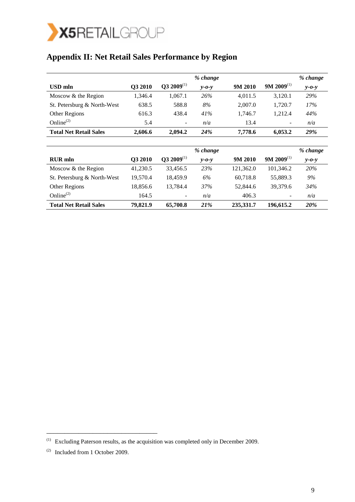

# **Appendix II: Net Retail Sales Performance by Region**

|                               |         |                                   | % change    |         |                          | % change |
|-------------------------------|---------|-----------------------------------|-------------|---------|--------------------------|----------|
| USD mln                       | O3 2010 | $\mathbf{Q3}$ 2009 <sup>(1)</sup> | $v$ -0- $v$ | 9M 2010 | $9M 2009$ <sup>(1)</sup> | $y$ -0-y |
| Moscow & the Region           | 1.346.4 | 1.067.1                           | 26%         | 4.011.5 | 3,120.1                  | 29%      |
| St. Petersburg & North-West   | 638.5   | 588.8                             | 8%          | 2.007.0 | 1,720.7                  | 17%      |
| Other Regions                 | 616.3   | 438.4                             | 41%         | 1.746.7 | 1.212.4                  | 44%      |
| Online $^{(2)}$               | 5.4     | ۰.                                | n/a         | 13.4    | $\qquad \qquad -$        | n/a      |
| <b>Total Net Retail Sales</b> | 2,606.6 | 2.094.2                           | <b>24%</b>  | 7,778.6 | 6,053.2                  | 29%      |

|                               |          |                                   | % change    |           |                          | % change    |
|-------------------------------|----------|-----------------------------------|-------------|-----------|--------------------------|-------------|
| <b>RUR</b> mln                | O3 2010  | $\mathbf{O3}$ 2009 <sup>(1)</sup> | $v$ -0- $v$ | 9M 2010   | $9M 2009$ <sup>(1)</sup> | $y - 0 - y$ |
| Moscow & the Region           | 41.230.5 | 33.456.5                          | 23%         | 121,362.0 | 101,346.2                | 20%         |
| St. Petersburg & North-West   | 19.570.4 | 18.459.9                          | 6%          | 60.718.8  | 55,889.3                 | 9%          |
| Other Regions                 | 18.856.6 | 13.784.4                          | 37%         | 52,844.6  | 39,379.6                 | 34%         |
| Online $^{(2)}$               | 164.5    | Ξ.                                | n/a         | 406.3     | $\overline{\phantom{a}}$ | n/a         |
| <b>Total Net Retail Sales</b> | 79,821.9 | 65,700.8                          | 21%         | 235,331.7 | 196,615.2                | 20%         |

\_\_\_\_\_\_\_\_\_\_\_\_\_\_\_\_\_\_\_\_\_\_\_\_\_\_\_\_\_\_\_

<sup>(1)</sup> Excluding Paterson results, as the acquisition was completed only in December 2009.

<sup>(2)</sup> Included from 1 October 2009.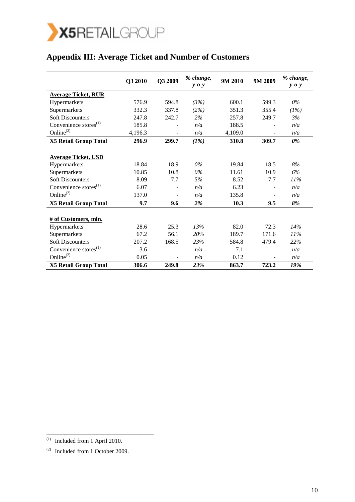

# **Appendix III: Average Ticket and Number of Customers**

|                                   | Q3 2010 | Q3 2009                  | % change,<br>$v$ -0- $v$ | 9M 2010 | 9M 2009 | % change,<br>$y - 0 - y$ |
|-----------------------------------|---------|--------------------------|--------------------------|---------|---------|--------------------------|
| <b>Average Ticket, RUR</b>        |         |                          |                          |         |         |                          |
| Hypermarkets                      | 576.9   | 594.8                    | (3%)                     | 600.1   | 599.3   | $0\%$                    |
| Supermarkets                      | 332.3   | 337.8                    | (2%)                     | 351.3   | 355.4   | (1%)                     |
| <b>Soft Discounters</b>           | 247.8   | 242.7                    | 2%                       | 257.8   | 249.7   | 3%                       |
| Convenience stores <sup>(1)</sup> | 185.8   |                          | n/a                      | 188.5   |         | n/a                      |
| Online <sup>(2)</sup>             | 4,196.3 |                          | n/a                      | 4,109.0 |         | n/a                      |
| <b>X5 Retail Group Total</b>      | 296.9   | 299.7                    | (1%)                     | 310.8   | 309.7   | 0%                       |
|                                   |         |                          |                          |         |         |                          |
| <b>Average Ticket, USD</b>        |         |                          |                          |         |         |                          |
| Hypermarkets                      | 18.84   | 18.9                     | 0%                       | 19.84   | 18.5    | 8%                       |
| Supermarkets                      | 10.85   | 10.8                     | 0%                       | 11.61   | 10.9    | 6%                       |
| <b>Soft Discounters</b>           | 8.09    | 7.7                      | 5%                       | 8.52    | 7.7     | 11%                      |
| Convenience stores <sup>(1)</sup> | 6.07    |                          | n/a                      | 6.23    |         | n/a                      |
| Online <sup>(2)</sup>             | 137.0   |                          | n/a                      | 135.8   |         | n/a                      |
| <b>X5 Retail Group Total</b>      | 9.7     | 9.6                      | 2%                       | 10.3    | 9.5     | 8%                       |
|                                   |         |                          |                          |         |         |                          |
| # of Customers, mln.              |         |                          |                          |         |         |                          |
| Hypermarkets                      | 28.6    | 25.3                     | 13%                      | 82.0    | 72.3    | 14%                      |
| Supermarkets                      | 67.2    | 56.1                     | 20%                      | 189.7   | 171.6   | $11\%$                   |
| <b>Soft Discounters</b>           | 207.2   | 168.5                    | 23%                      | 584.8   | 479.4   | 22%                      |
| Convenience stores <sup>(1)</sup> | 3.6     | $\blacksquare$           | n/a                      | 7.1     |         | n/a                      |
| Online <sup>(2)</sup>             | 0.05    | $\overline{\phantom{a}}$ | n/a                      | 0.12    |         | n/a                      |
| <b>X5 Retail Group Total</b>      | 306.6   | 249.8                    | 23%                      | 863.7   | 723.2   | 19%                      |

\_\_\_\_\_\_\_\_\_\_\_\_\_\_\_\_\_\_\_\_\_\_\_\_\_\_\_\_\_\_

 $\overline{1}$  Included from 1 April 2010.

<sup>(2)</sup> Included from 1 October 2009.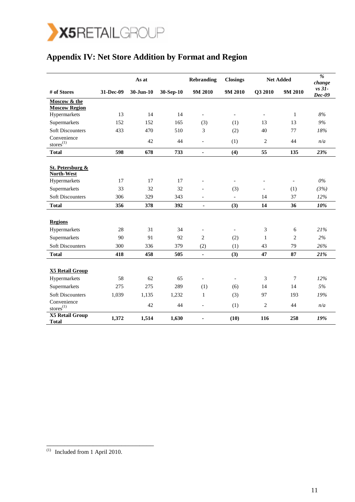

# **Appendix IV: Net Store Addition by Format and Region**

|                                           |           | As at       |           | <b>Rebranding</b>        | <b>Closings</b>          |                          | <b>Net Added</b> | $\overline{\frac{9}{6}}$<br>change |
|-------------------------------------------|-----------|-------------|-----------|--------------------------|--------------------------|--------------------------|------------------|------------------------------------|
| # of Stores                               | 31-Dec-09 | $30-Jun-10$ | 30-Sep-10 | 9M 2010                  | 9M 2010                  | Q3 2010                  | 9M 2010          | $vs$ 31-<br>$Dec-09$               |
| Moscow & the                              |           |             |           |                          |                          |                          |                  |                                    |
| <b>Moscow Region</b><br>Hypermarkets      | 13        | 14          | 14        | $\overline{\phantom{a}}$ | $\overline{\phantom{a}}$ | $\overline{\phantom{a}}$ | $\mathbf{1}$     | 8%                                 |
| Supermarkets                              | 152       | 152         | 165       | (3)                      | (1)                      | 13                       | 13               | 9%                                 |
| <b>Soft Discounters</b>                   | 433       | 470         | 510       | 3                        | (2)                      | 40                       | 77               | 18%                                |
| Convenience<br>$\text{stores}^{(1)}$      |           | 42          | 44        | $\overline{\phantom{m}}$ | (1)                      | 2                        | 44               | n/a                                |
| <b>Total</b>                              | 598       | 678         | 733       | $\blacksquare$           | (4)                      | 55                       | 135              | 23%                                |
|                                           |           |             |           |                          |                          |                          |                  |                                    |
| <b>St. Petersburg &amp;</b><br>North-West |           |             |           |                          |                          |                          |                  |                                    |
| Hypermarkets                              | 17        | 17          | 17        |                          | $\overline{a}$           |                          |                  | $0\%$                              |
| Supermarkets                              | 33        | 32          | 32        |                          | (3)                      |                          | (1)              | (3%)                               |
| <b>Soft Discounters</b>                   | 306       | 329         | 343       | $\overline{\phantom{0}}$ | $\overline{\phantom{0}}$ | 14                       | 37               | 12%                                |
| <b>Total</b>                              | 356       | 378         | 392       | $\blacksquare$           | (3)                      | 14                       | 36               | 10%                                |
|                                           |           |             |           |                          |                          |                          |                  |                                    |
| <b>Regions</b>                            |           |             |           |                          |                          |                          |                  |                                    |
| Hypermarkets                              | 28        | 31          | 34        | $\blacksquare$           | $\blacksquare$           | 3                        | 6                | 21%                                |
| Supermarkets                              | 90        | 91          | 92        | $\mathfrak{2}$           | (2)                      | $\mathbf{1}$             | $\overline{c}$   | 2%                                 |
| <b>Soft Discounters</b>                   | 300       | 336         | 379       | (2)                      | (1)                      | 43                       | 79               | 26%                                |
| <b>Total</b>                              | 418       | 458         | 505       | $\blacksquare$           | (3)                      | 47                       | 87               | 21%                                |
|                                           |           |             |           |                          |                          |                          |                  |                                    |
| <b>X5 Retail Group</b>                    |           |             |           |                          |                          |                          |                  |                                    |
| Hypermarkets                              | 58        | 62          | 65        | $\overline{a}$           | $\overline{\phantom{a}}$ | 3                        | 7                | 12%                                |
| Supermarkets                              | 275       | 275         | 289       | (1)                      | (6)                      | 14                       | 14               | 5%                                 |
| <b>Soft Discounters</b>                   | 1,039     | 1,135       | 1,232     | 1                        | (3)                      | 97                       | 193              | 19%                                |
| Convenience<br>$\text{stores}^{(1)}$      |           | 42          | 44        | $\blacksquare$           | (1)                      | $\boldsymbol{2}$         | 44               | n/a                                |
| <b>X5 Retail Group</b><br><b>Total</b>    | 1,372     | 1,514       | 1,630     |                          | (10)                     | 116                      | 258              | 19%                                |

\_\_\_\_\_\_\_\_\_\_\_\_\_\_\_\_\_\_\_\_\_\_\_\_\_\_\_\_\_\_

 $\overline{^{(1)}}$  Included from 1 April 2010.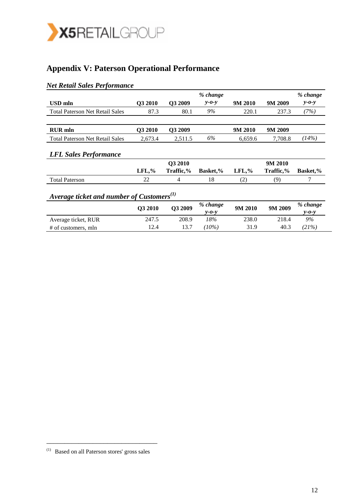

# **Appendix V: Paterson Operational Performance**

### *Net Retail Sales Performance*

|                                                 |           |           | % change                |           |           | % change                |
|-------------------------------------------------|-----------|-----------|-------------------------|-----------|-----------|-------------------------|
| USD mln                                         | Q3 2010   | Q3 2009   | $y - 0 - y$             | 9M 2010   | 9M 2009   | $y - 0 - y$             |
| <b>Total Paterson Net Retail Sales</b>          | 87.3      | 80.1      | 9%                      | 220.1     | 237.3     | (7%)                    |
|                                                 |           |           |                         |           |           |                         |
| <b>RUR</b> mln                                  | Q3 2010   | Q3 2009   |                         | 9M 2010   | 9M 2009   |                         |
| <b>Total Paterson Net Retail Sales</b>          | 2,673.4   | 2,511.5   | 6%                      | 6,659.6   | 7,708.8   | (14%)                   |
| <b>LFL Sales Performance</b>                    |           |           |                         |           |           |                         |
|                                                 |           | Q3 2010   |                         |           | 9M 2010   |                         |
|                                                 | $LFL, \%$ | Traffic,% | <b>Basket,%</b>         | $LFL, \%$ | Traffic,% | <b>Basket,%</b>         |
| <b>Total Paterson</b>                           | 22        | 4         | 18                      | (2)       | (9)       | 7                       |
| Average ticket and number of Customers $^{(1)}$ |           |           |                         |           |           |                         |
|                                                 | Q3 2010   | Q3 2009   | % change<br>$y - 0 - y$ | 9M 2010   | 9M 2009   | % change<br>$y - 0 - y$ |
| Average ticket, RUR                             | 247.5     | 208.9     | 18%                     | 238.0     | 218.4     | 9%                      |
| # of customers, mln                             | 12.4      | 13.7      | $(10\%)$                | 31.9      | 40.3      | (21%)                   |

\_\_\_\_\_\_\_\_\_\_\_\_\_\_\_\_\_\_\_\_\_\_\_\_\_\_\_\_\_\_\_

<sup>(1)</sup> Based on all Paterson stores' gross sales